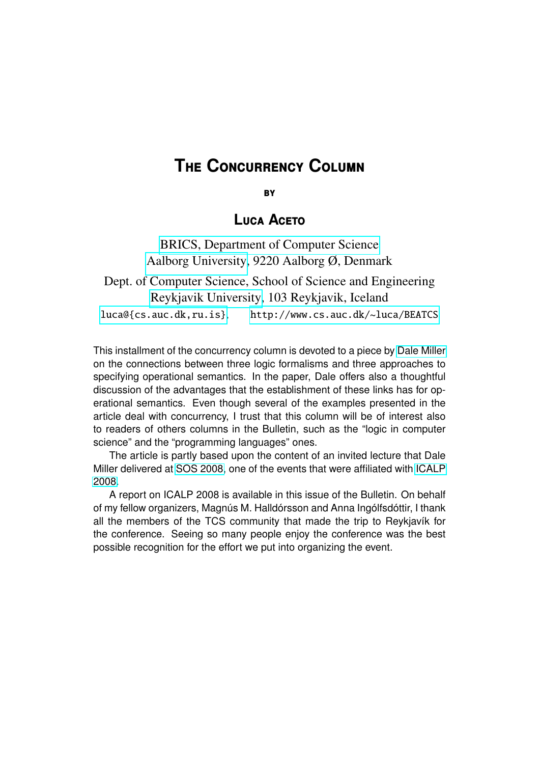## **THE CONCURRENCY COLUMN**

**BY** 

### **LUCA ACETO**

[BRICS, Department of Computer Science](http://www.cs.auc.dk/) [Aalborg University,](http://www.auc.dk/) 9220 Aalborg Ø, Denmark

Dept. of Computer Science, School of Science and Engineering [Reykjavik University,](http://www.ru.is) 103 Reykjavik, Iceland <luca@{cs.auc.dk,ru.is}>, <http://www.cs.auc.dk/~luca/BEATCS>

This installment of the concurrency column is devoted to a piece by [Dale Miller](http://www.lix.polytechnique.fr/~dale/) on the connections between three logic formalisms and three approaches to specifying operational semantics. In the paper, Dale offers also a thoughtful discussion of the advantages that the establishment of these links has for operational semantics. Even though several of the examples presented in the article deal with concurrency, I trust that this column will be of interest also to readers of others columns in the Bulletin, such as the "logic in computer science" and the "programming languages" ones.

The article is partly based upon the content of an invited lecture that Dale Miller delivered at [SOS 2008,](http://homepages.inf.ed.ac.uk/bklin/SOS2008/) one of the events that were affiliated with [ICALP](http://www.ru.is/icalp08) [2008.](http://www.ru.is/icalp08)

A report on ICALP 2008 is available in this issue of the Bulletin. On behalf of my fellow organizers, Magnús M. Halldórsson and Anna Ingólfsdóttir, I thank all the members of the TCS community that made the trip to Reykjavík for the conference. Seeing so many people enjoy the conference was the best possible recognition for the effort we put into organizing the event.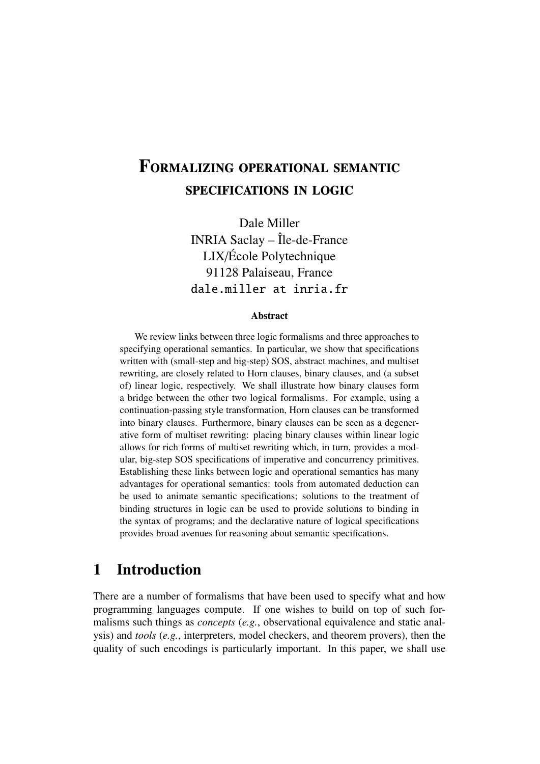# FORMALIZING OPERATIONAL SEMANTIC **SPECIFICATIONS IN LOGIC**

Dale Miller INRIA Saclay – Île-de-France LIX/École Polytechnique 91128 Palaiseau, France dale.miller at inria.fr

#### Abstract

We review links between three logic formalisms and three approaches to specifying operational semantics. In particular, we show that specifications written with (small-step and big-step) SOS, abstract machines, and multiset rewriting, are closely related to Horn clauses, binary clauses, and (a subset of) linear logic, respectively. We shall illustrate how binary clauses form a bridge between the other two logical formalisms. For example, using a continuation-passing style transformation, Horn clauses can be transformed into binary clauses. Furthermore, binary clauses can be seen as a degenerative form of multiset rewriting: placing binary clauses within linear logic allows for rich forms of multiset rewriting which, in turn, provides a modular, big-step SOS specifications of imperative and concurrency primitives. Establishing these links between logic and operational semantics has many advantages for operational semantics: tools from automated deduction can be used to animate semantic specifications; solutions to the treatment of binding structures in logic can be used to provide solutions to binding in the syntax of programs; and the declarative nature of logical specifications provides broad avenues for reasoning about semantic specifications.

### 1 Introduction

There are a number of formalisms that have been used to specify what and how programming languages compute. If one wishes to build on top of such formalisms such things as *concepts* (*e.g.*, observational equivalence and static analysis) and *tools* (*e.g.*, interpreters, model checkers, and theorem provers), then the quality of such encodings is particularly important. In this paper, we shall use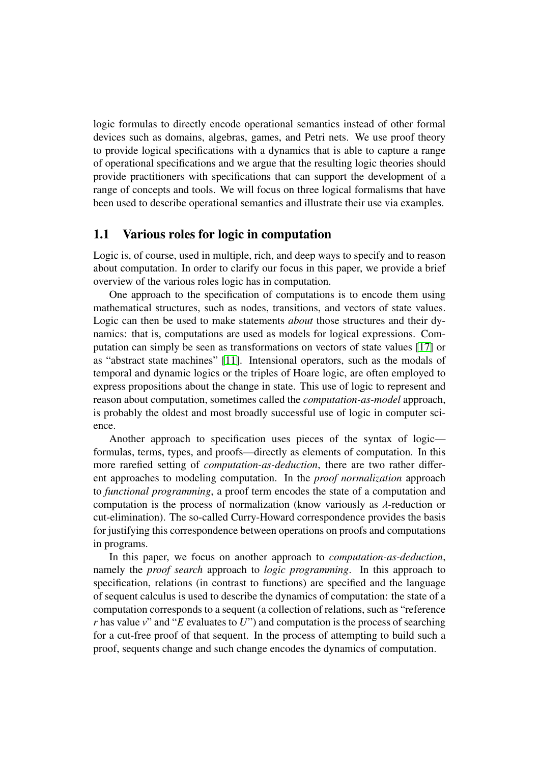logic formulas to directly encode operational semantics instead of other formal devices such as domains, algebras, games, and Petri nets. We use proof theory to provide logical specifications with a dynamics that is able to capture a range of operational specifications and we argue that the resulting logic theories should provide practitioners with specifications that can support the development of a range of concepts and tools. We will focus on three logical formalisms that have been used to describe operational semantics and illustrate their use via examples.

#### 1.1 Various roles for logic in computation

Logic is, of course, used in multiple, rich, and deep ways to specify and to reason about computation. In order to clarify our focus in this paper, we provide a brief overview of the various roles logic has in computation.

One approach to the specification of computations is to encode them using mathematical structures, such as nodes, transitions, and vectors of state values. Logic can then be used to make statements *about* those structures and their dynamics: that is, computations are used as models for logical expressions. Computation can simply be seen as transformations on vectors of state values [\[17\]](#page-20-0) or as "abstract state machines" [\[11\]](#page-20-1). Intensional operators, such as the modals of temporal and dynamic logics or the triples of Hoare logic, are often employed to express propositions about the change in state. This use of logic to represent and reason about computation, sometimes called the *computation-as-model* approach, is probably the oldest and most broadly successful use of logic in computer science.

Another approach to specification uses pieces of the syntax of logic formulas, terms, types, and proofs—directly as elements of computation. In this more rarefied setting of *computation-as-deduction*, there are two rather different approaches to modeling computation. In the *proof normalization* approach to *functional programming*, a proof term encodes the state of a computation and computation is the process of normalization (know variously as  $\lambda$ -reduction or cut-elimination). The so-called Curry-Howard correspondence provides the basis for justifying this correspondence between operations on proofs and computations in programs.

In this paper, we focus on another approach to *computation-as-deduction*, namely the *proof search* approach to *logic programming*. In this approach to specification, relations (in contrast to functions) are specified and the language of sequent calculus is used to describe the dynamics of computation: the state of a computation corresponds to a sequent (a collection of relations, such as "reference *r* has value *v*" and "*E* evaluates to *U*") and computation is the process of searching for a cut-free proof of that sequent. In the process of attempting to build such a proof, sequents change and such change encodes the dynamics of computation.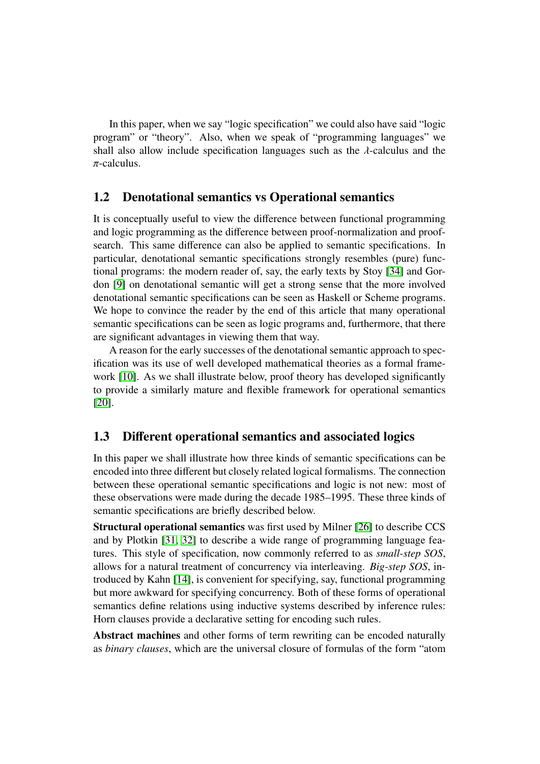In this paper, when we say "logic specification" we could also have said "logic program" or "theory". Also, when we speak of "programming languages" we shall also allow include specification languages such as the  $\lambda$ -calculus and the  $\pi$ -calculus.

### 1.2 Denotational semantics vs Operational semantics

It is conceptually useful to view the difference between functional programming and logic programming as the difference between proof-normalization and proofsearch. This same difference can also be applied to semantic specifications. In particular, denotational semantic specifications strongly resembles (pure) functional programs: the modern reader of, say, the early texts by Stoy [\[34\]](#page-21-0) and Gordon [\[9\]](#page-20-2) on denotational semantic will get a strong sense that the more involved denotational semantic specifications can be seen as Haskell or Scheme programs. We hope to convince the reader by the end of this article that many operational semantic specifications can be seen as logic programs and, furthermore, that there are significant advantages in viewing them that way.

A reason for the early successes of the denotational semantic approach to specification was its use of well developed mathematical theories as a formal frame-work [\[10\]](#page-20-3). As we shall illustrate below, proof theory has developed significantly to provide a similarly mature and flexible framework for operational semantics [\[20\]](#page-20-4).

### 1.3 Different operational semantics and associated logics

In this paper we shall illustrate how three kinds of semantic specifications can be encoded into three different but closely related logical formalisms. The connection between these operational semantic specifications and logic is not new: most of these observations were made during the decade 1985–1995. These three kinds of semantic specifications are briefly described below.

Structural operational semantics was first used by Milner [\[26\]](#page-21-1) to describe CCS and by Plotkin [\[31,](#page-21-2) [32\]](#page-21-3) to describe a wide range of programming language features. This style of specification, now commonly referred to as *small-step SOS*, allows for a natural treatment of concurrency via interleaving. *Big-step SOS*, introduced by Kahn [\[14\]](#page-20-5), is convenient for specifying, say, functional programming but more awkward for specifying concurrency. Both of these forms of operational semantics define relations using inductive systems described by inference rules: Horn clauses provide a declarative setting for encoding such rules.

Abstract machines and other forms of term rewriting can be encoded naturally as *binary clauses*, which are the universal closure of formulas of the form "atom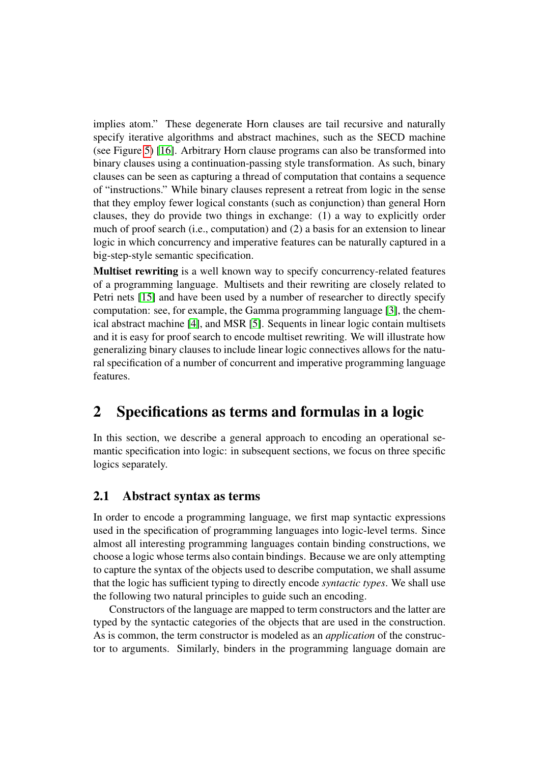implies atom." These degenerate Horn clauses are tail recursive and naturally specify iterative algorithms and abstract machines, such as the SECD machine (see Figure [5\)](#page-12-0) [\[16\]](#page-20-6). Arbitrary Horn clause programs can also be transformed into binary clauses using a continuation-passing style transformation. As such, binary clauses can be seen as capturing a thread of computation that contains a sequence of "instructions." While binary clauses represent a retreat from logic in the sense that they employ fewer logical constants (such as conjunction) than general Horn clauses, they do provide two things in exchange: (1) a way to explicitly order much of proof search (i.e., computation) and (2) a basis for an extension to linear logic in which concurrency and imperative features can be naturally captured in a big-step-style semantic specification.

Multiset rewriting is a well known way to specify concurrency-related features of a programming language. Multisets and their rewriting are closely related to Petri nets [\[15\]](#page-20-7) and have been used by a number of researcher to directly specify computation: see, for example, the Gamma programming language [\[3\]](#page-19-0), the chemical abstract machine [\[4\]](#page-19-1), and MSR [\[5\]](#page-19-2). Sequents in linear logic contain multisets and it is easy for proof search to encode multiset rewriting. We will illustrate how generalizing binary clauses to include linear logic connectives allows for the natural specification of a number of concurrent and imperative programming language features.

## 2 Specifications as terms and formulas in a logic

In this section, we describe a general approach to encoding an operational semantic specification into logic: in subsequent sections, we focus on three specific logics separately.

### 2.1 Abstract syntax as terms

In order to encode a programming language, we first map syntactic expressions used in the specification of programming languages into logic-level terms. Since almost all interesting programming languages contain binding constructions, we choose a logic whose terms also contain bindings. Because we are only attempting to capture the syntax of the objects used to describe computation, we shall assume that the logic has sufficient typing to directly encode *syntactic types*. We shall use the following two natural principles to guide such an encoding.

Constructors of the language are mapped to term constructors and the latter are typed by the syntactic categories of the objects that are used in the construction. As is common, the term constructor is modeled as an *application* of the constructor to arguments. Similarly, binders in the programming language domain are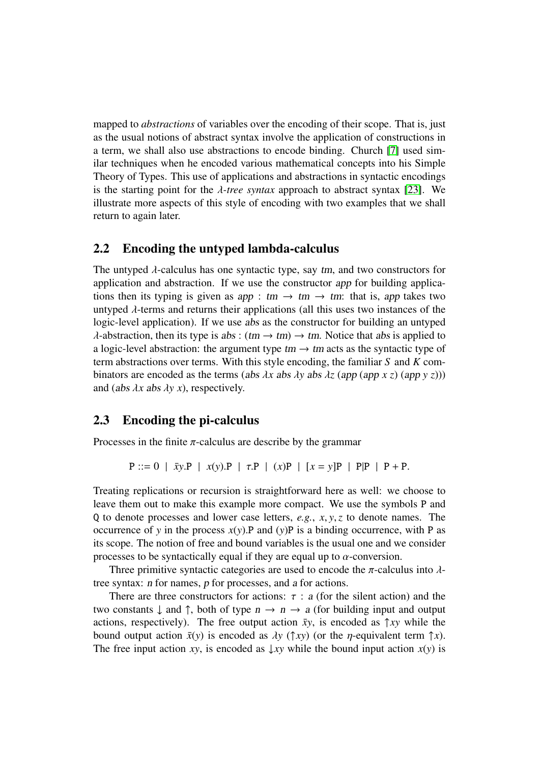mapped to *abstractions* of variables over the encoding of their scope. That is, just as the usual notions of abstract syntax involve the application of constructions in a term, we shall also use abstractions to encode binding. Church [\[7\]](#page-19-3) used similar techniques when he encoded various mathematical concepts into his Simple Theory of Types. This use of applications and abstractions in syntactic encodings is the starting point for the  $\lambda$ -tree syntax approach to abstract syntax [\[23\]](#page-20-8). We illustrate more aspects of this style of encoding with two examples that we shall return to again later.

### 2.2 Encoding the untyped lambda-calculus

The untyped  $\lambda$ -calculus has one syntactic type, say tm, and two constructors for application and abstraction. If we use the constructor app for building applications then its typing is given as app : tm  $\rightarrow$  tm  $\rightarrow$  tm: that is, app takes two untyped  $\lambda$ -terms and returns their applications (all this uses two instances of the logic-level application). If we use abs as the constructor for building an untyped  $\lambda$ -abstraction, then its type is abs:  $(tm \rightarrow tm) \rightarrow tm$ . Notice that abs is applied to a logic-level abstraction: the argument type  $tm \rightarrow tm$  acts as the syntactic type of term abstractions over terms. With this style encoding, the familiar *S* and *K* combinators are encoded as the terms (abs  $\lambda x$  abs  $\lambda y$  abs  $\lambda z$  (app (app *x z*) (app *y z*))) and (abs λ*<sup>x</sup>* abs λ*y x*), respectively.

### <span id="page-5-0"></span>2.3 Encoding the pi-calculus

Processes in the finite  $\pi$ -calculus are describe by the grammar

```
P ::= 0 | \bar{x}y.P | x(y).P | \tau.P | (x)P | \bar{x} = y|P | P|P | P + P.
```
Treating replications or recursion is straightforward here as well: we choose to leave them out to make this example more compact. We use the symbols P and <sup>Q</sup> to denote processes and lower case letters, *e.g.*, *<sup>x</sup>*, *<sup>y</sup>*,*<sup>z</sup>* to denote names. The occurrence of *y* in the process  $x(y)$ . P and  $(y)$  P is a binding occurrence, with P as its scope. The notion of free and bound variables is the usual one and we consider processes to be syntactically equal if they are equal up to  $\alpha$ -conversion.

Three primitive syntactic categories are used to encode the  $\pi$ -calculus into  $\lambda$ tree syntax: n for names, p for processes, and a for actions.

There are three constructors for actions:  $\tau$  : a (for the silent action) and the two constants  $\downarrow$  and  $\uparrow$ , both of type  $n \to n \to a$  (for building input and output actions, respectively). The free output action  $\bar{x}y$ , is encoded as  $\uparrow xy$  while the bound output action  $\bar{x}(y)$  is encoded as  $\lambda y$  ( $\hat{\uparrow} xy$ ) (or the *n*-equivalent term  $\hat{\uparrow} x$ ). The free input action *xy*, is encoded as  $\downarrow xy$  while the bound input action *x(y)* is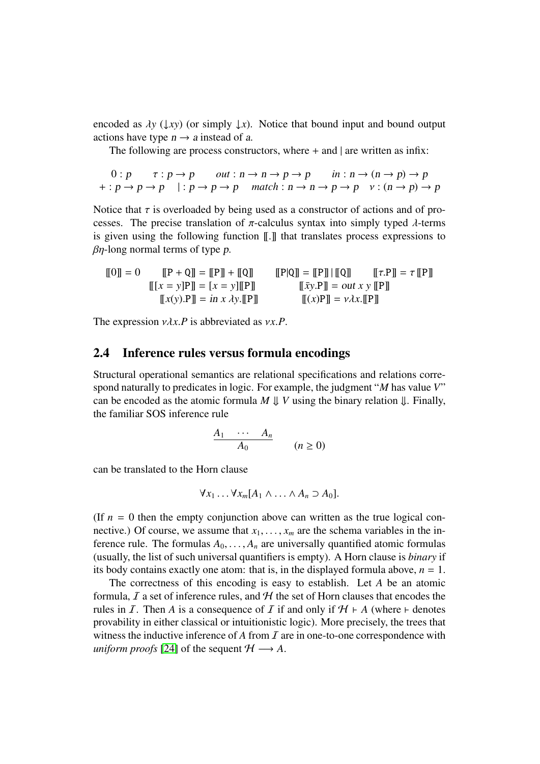encoded as  $\lambda y$  ( $\downarrow xy$ ) (or simply  $\downarrow x$ ). Notice that bound input and bound output actions have type  $n \rightarrow a$  instead of a.

The following are process constructors, where  $+$  and  $|$  are written as infix:

$$
0: p \qquad \tau: p \to p \qquad out: n \to n \to p \to p \qquad in: n \to (n \to p) \to p
$$
  
+: p \to p \to p \qquad |: p \to p \to p \qquad match: n \to n \to p \to p \qquad v: (n \to p) \to p

Notice that  $\tau$  is overloaded by being used as a constructor of actions and of processes. The precise translation of  $\pi$ -calculus syntax into simply typed  $\lambda$ -terms is given using the following function [[.]] that translates process expressions to  $\beta$ η-long normal terms of type p.

$$
\llbracket 0 \rrbracket = 0 \qquad \llbracket \mathbf{P} + \mathbf{Q} \rrbracket = \llbracket \mathbf{P} \rrbracket + \llbracket \mathbf{Q} \rrbracket \qquad \qquad \llbracket \mathbf{P} | \mathbf{Q} \rrbracket = \llbracket \mathbf{P} \rrbracket \mid \llbracket \mathbf{Q} \rrbracket \qquad \qquad \llbracket \tau.\mathbf{P} \rrbracket = \tau \llbracket \mathbf{P} \rrbracket
$$
\n
$$
\llbracket [x = y] \mathbf{P} \rrbracket = [x = y] \llbracket \mathbf{P} \rrbracket \qquad \qquad \llbracket \bar{x} \mathbf{y} \mathbf{P} \rrbracket = out \ x \ y \llbracket \mathbf{P} \rrbracket
$$
\n
$$
\llbracket x(\mathbf{y}) \mathbf{P} \rrbracket = in \ x \ \lambda \mathbf{y} \llbracket \mathbf{P} \rrbracket \qquad \qquad \llbracket (x) \mathbf{P} \rrbracket = v \lambda x \llbracket \mathbf{P} \rrbracket
$$

The expression νλ*x*.*<sup>P</sup>* is abbreviated as ν*x*.*P*.

#### 2.4 Inference rules versus formula encodings

Structural operational semantics are relational specifications and relations correspond naturally to predicates in logic. For example, the judgment "*M* has value *V*" can be encoded as the atomic formula  $M \downarrow V$  using the binary relation  $\downarrow$ . Finally, the familiar SOS inference rule

$$
\frac{A_1 \cdots A_n}{A_0} \qquad (n \ge 0)
$$

can be translated to the Horn clause

$$
\forall x_1 \ldots \forall x_m [A_1 \wedge \ldots \wedge A_n \supset A_0].
$$

(If  $n = 0$  then the empty conjunction above can written as the true logical connective.) Of course, we assume that  $x_1, \ldots, x_m$  are the schema variables in the inference rule. The formulas  $A_0, \ldots, A_n$  are universally quantified atomic formulas (usually, the list of such universal quantifiers is empty). A Horn clause is *binary* if its body contains exactly one atom: that is, in the displayed formula above,  $n = 1$ .

The correctness of this encoding is easy to establish. Let *A* be an atomic formula,  $\mathcal I$  a set of inference rules, and  $\mathcal H$  the set of Horn clauses that encodes the rules in *I*. Then *A* is a consequence of *I* if and only if  $H \vdash A$  (where  $\vdash$  denotes provability in either classical or intuitionistic logic). More precisely, the trees that witness the inductive inference of  $A$  from  $I$  are in one-to-one correspondence with *uniform proofs* [\[24\]](#page-20-9) of the sequent  $H \longrightarrow A$ .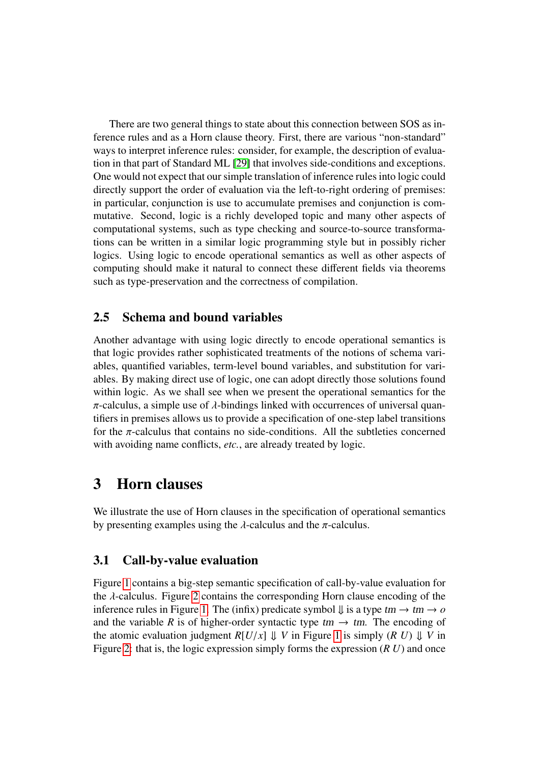There are two general things to state about this connection between SOS as inference rules and as a Horn clause theory. First, there are various "non-standard" ways to interpret inference rules: consider, for example, the description of evaluation in that part of Standard ML [\[29\]](#page-21-4) that involves side-conditions and exceptions. One would not expect that our simple translation of inference rules into logic could directly support the order of evaluation via the left-to-right ordering of premises: in particular, conjunction is use to accumulate premises and conjunction is commutative. Second, logic is a richly developed topic and many other aspects of computational systems, such as type checking and source-to-source transformations can be written in a similar logic programming style but in possibly richer logics. Using logic to encode operational semantics as well as other aspects of computing should make it natural to connect these different fields via theorems such as type-preservation and the correctness of compilation.

### 2.5 Schema and bound variables

Another advantage with using logic directly to encode operational semantics is that logic provides rather sophisticated treatments of the notions of schema variables, quantified variables, term-level bound variables, and substitution for variables. By making direct use of logic, one can adopt directly those solutions found within logic. As we shall see when we present the operational semantics for the  $\pi$ -calculus, a simple use of  $\lambda$ -bindings linked with occurrences of universal quantifiers in premises allows us to provide a specification of one-step label transitions for the  $\pi$ -calculus that contains no side-conditions. All the subtleties concerned with avoiding name conflicts, *etc.*, are already treated by logic.

### 3 Horn clauses

We illustrate the use of Horn clauses in the specification of operational semantics by presenting examples using the  $\lambda$ -calculus and the  $\pi$ -calculus.

### 3.1 Call-by-value evaluation

Figure [1](#page-8-0) contains a big-step semantic specification of call-by-value evaluation for the  $\lambda$ -calculus. Figure [2](#page-8-1) contains the corresponding Horn clause encoding of the inference rules in Figure [1.](#page-8-0) The (infix) predicate symbol  $\downarrow$  is a type  $tm \rightarrow tm \rightarrow o$ and the variable *R* is of higher-order syntactic type  $tm \rightarrow tm$ . The encoding of the atomic evaluation judgment  $R[U/x] \Downarrow V$  in Figure [1](#page-8-0) is simply  $(R \ U) \Downarrow V$  in Figure [2:](#page-8-1) that is, the logic expression simply forms the expression (*R U*) and once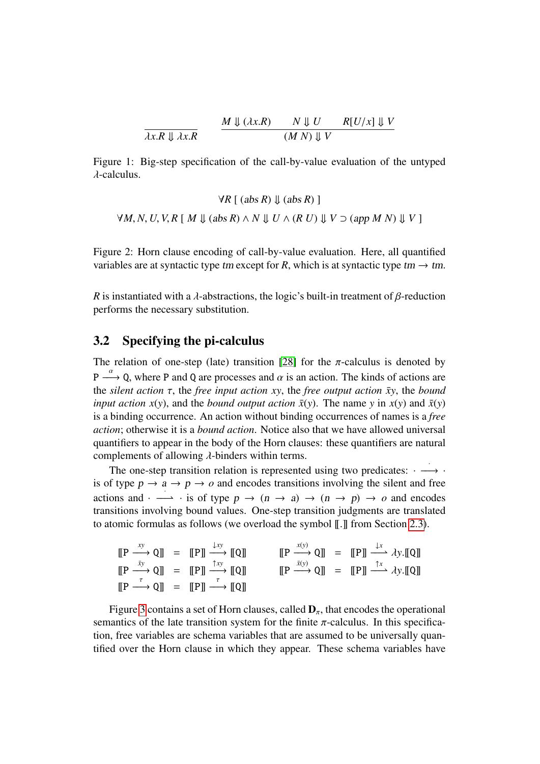<span id="page-8-0"></span>
$$
\frac{M \Downarrow (\lambda x.R)}{(M \ N) \Downarrow V} \quad R[U/x] \Downarrow V
$$

Figure 1: Big-step specification of the call-by-value evaluation of the untyped λ-calculus.

$$
\forall R \; [(abs \; R) \Downarrow (abs \; R)]
$$
  

$$
\forall M, N, U, V, R \; [ \; M \Downarrow (abs \; R) \land N \Downarrow U \land (R \; U) \Downarrow V \supset (app \; M \; N) \Downarrow V ]
$$

<span id="page-8-1"></span>Figure 2: Horn clause encoding of call-by-value evaluation. Here, all quantified variables are at syntactic type tm except for *R*, which is at syntactic type tm  $\rightarrow$  tm.

*R* is instantiated with a  $\lambda$ -abstractions, the logic's built-in treatment of  $\beta$ -reduction performs the necessary substitution.

#### 3.2 Specifying the pi-calculus

The relation of one-step (late) transition [\[28\]](#page-21-5) for the  $\pi$ -calculus is denoted by  $P \longrightarrow Q$ , where P and Q are processes and  $\alpha$  is an action. The kinds of actions are<br>the silent action  $\tau$ , the free input action  $xy$ , the free output action  $\bar{y}y$ , the hound the *silent action*  $\tau$ , the *free input action xy*, the *free output action*  $\bar{x}y$ , the *bound input action x(y), and the <i>bound output action*  $\bar{x}(y)$ . The name *y* in  $x(y)$  and  $\bar{x}(y)$ is a binding occurrence. An action without binding occurrences of names is a *free action*; otherwise it is a *bound action*. Notice also that we have allowed universal quantifiers to appear in the body of the Horn clauses: these quantifiers are natural complements of allowing  $\lambda$ -binders within terms.

The one-step transition relation is represented using two predicates:  $\cdot \longrightarrow \cdot$ is of type  $p \to a \to p \to o$  and encodes transitions involving the silent and free actions and ·  $\longrightarrow$  · is of type  $p \to (n \to a) \to (n \to p) \to o$  and encodes<br>transitions involving bound values. One-step transition judgments are translated transitions involving bound values. One-step transition judgments are translated to atomic formulas as follows (we overload the symbol  $\llbracket . \rrbracket$  from Section [2.3\)](#page-5-0).

$$
\begin{array}{rcl}\n[\mathbf{P} \xrightarrow{xy} \mathbf{Q}]] & = & [\![\mathbf{P}]\!] \xrightarrow{fxy} [\![\mathbf{Q}]\!] & \qquad [\![\mathbf{P} \xrightarrow{x(y)} \mathbf{Q}]\!] & = & [\![\mathbf{P}]\!] \xrightarrow{fxy} \mathbf{Q}]\n[\![\mathbf{P} \xrightarrow{xy} \mathbf{Q}]\!] & = & [\![\mathbf{P}]\!] \xrightarrow{fxy} \mathbf{Q}]\n[\![\mathbf{P} \xrightarrow{fxy} \mathbf{Q}]\!] & = & [\![\mathbf{P}]\!] \xrightarrow{fxy} \mathbf{Q}]\n[\![\mathbf{P} \xrightarrow{fxy} \mathbf{Q}]\!] & = & [\![\mathbf{P}]\!] \xrightarrow{fxy} \mathbf{Q}]\n[\![\mathbf{P} \xrightarrow{fxy} \mathbf{Q}]\!] & = & [\![\mathbf{P}]\!] \xrightarrow{fxy} \mathbf{Q}]\n\end{array}
$$

Figure [3](#page-9-0) contains a set of Horn clauses, called  $D_{\pi}$ , that encodes the operational semantics of the late transition system for the finite  $\pi$ -calculus. In this specification, free variables are schema variables that are assumed to be universally quantified over the Horn clause in which they appear. These schema variables have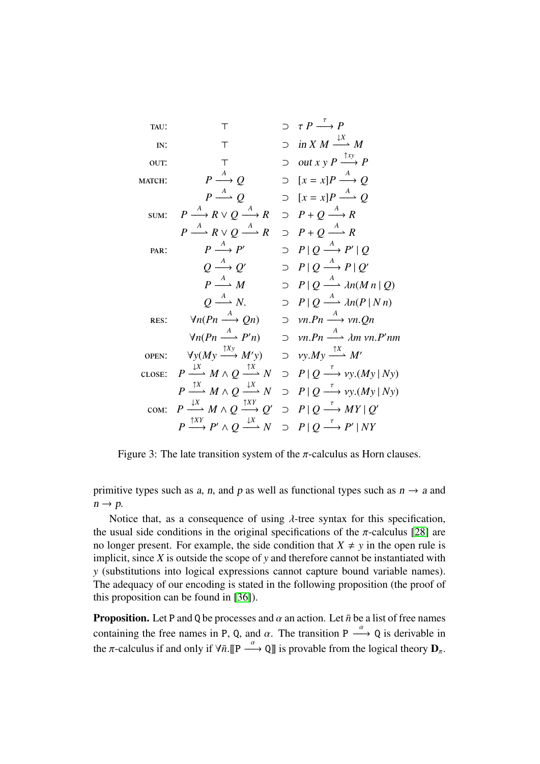: > ⊃ τ *<sup>P</sup>* τ −−→ *P* : > ⊃ in *X M* ↓*X* −−\* *<sup>M</sup>* : > ⊃ out *x y P* ↑*xy* −−→ *P* : *P A* −−→ *Q* ⊃ [*x* = *x*]*P A* −−→ *Q P A* −−\* *<sup>Q</sup>* <sup>⊃</sup> [*<sup>x</sup>* <sup>=</sup> *<sup>x</sup>*]*<sup>P</sup> A* −−\* *<sup>Q</sup>* : *P A* −−→ *R* ∨ *Q A* −−→ *R* ⊃ *P* + *Q A* −−→ *R P A* −−\* *<sup>R</sup>* <sup>∨</sup> *<sup>Q</sup> A* −−\* *<sup>R</sup>* <sup>⊃</sup> *<sup>P</sup>* <sup>+</sup> *<sup>Q</sup> A* −−\* *<sup>R</sup>* : *P A* −−→ *P* <sup>0</sup> ⊃ *P* | *Q A* −−→ *P* 0 | *Q Q A* −−→ *Q* <sup>0</sup> ⊃ *P* | *Q A* −−→ *P* | *Q* 0 *P A* −−\* *<sup>M</sup>* <sup>⊃</sup> *<sup>P</sup>* <sup>|</sup> *<sup>Q</sup> A* −−\* λ*n*(*M n* <sup>|</sup> *<sup>Q</sup>*) *Q A* −−\* *<sup>N</sup>*. <sup>⊃</sup> *<sup>P</sup>* <sup>|</sup> *<sup>Q</sup> A* −−\* λ*n*(*<sup>P</sup>* <sup>|</sup> *N n*) : ∀*n*(*Pn A* −−→ *Qn*) <sup>⊃</sup> ν*n*.*Pn A* −−→ ν*n*.*Qn* ∀*n*(*Pn A* −−\* *<sup>P</sup>* <sup>0</sup>*n*) <sup>⊃</sup> ν*n*.*Pn A* −−\* λ*<sup>m</sup>* ν*n*.*<sup>P</sup>* <sup>0</sup>*nm* : ∀*y*(*My* ↑*Xy* −−→ *M*<sup>0</sup> *<sup>y</sup>*) <sup>⊃</sup> ν*y*.*My* ↑*X* −−\* *<sup>M</sup>*<sup>0</sup> : *P* ↓*X* −−\* *<sup>M</sup>* <sup>∧</sup> *<sup>Q</sup>* ↑*X* −−\* *<sup>N</sup>* <sup>⊃</sup> *<sup>P</sup>* <sup>|</sup> *<sup>Q</sup>* τ −−→ ν*y*.(*My* <sup>|</sup> *Ny*) *P* ↑*X* −−\* *<sup>M</sup>* <sup>∧</sup> *<sup>Q</sup>* ↓*X* −−\* *<sup>N</sup>* <sup>⊃</sup> *<sup>P</sup>* <sup>|</sup> *<sup>Q</sup>* τ −−→ ν*y*.(*My* <sup>|</sup> *Ny*) : *P* ↓*X* −−\* *<sup>M</sup>* <sup>∧</sup> *<sup>Q</sup>* ↑*XY* −−→ *Q* <sup>0</sup> ⊃ *P* | *Q* τ −−→ *MY* | *Q* 0 *P* ↑*XY* −−→ *P* <sup>0</sup> ∧ *Q* ↓*X* −−\* *<sup>N</sup>* <sup>⊃</sup> *<sup>P</sup>* <sup>|</sup> *<sup>Q</sup>* τ −−→ *P* 0 | *NY*

<span id="page-9-0"></span>Figure 3: The late transition system of the  $\pi$ -calculus as Horn clauses.

primitive types such as a, n, and p as well as functional types such as  $n \rightarrow a$  and  $n \rightarrow p$ .

Notice that, as a consequence of using  $\lambda$ -tree syntax for this specification, the usual side conditions in the original specifications of the  $\pi$ -calculus [\[28\]](#page-21-5) are no longer present. For example, the side condition that  $X \neq y$  in the open rule is implicit, since *X* is outside the scope of *y* and therefore cannot be instantiated with *y* (substitutions into logical expressions cannot capture bound variable names). The adequacy of our encoding is stated in the following proposition (the proof of this proposition can be found in [\[36\]](#page-21-6)).

**Proposition.** Let P and Q be processes and  $\alpha$  an action. Let  $\bar{n}$  be a list of free names containing the free names in P, Q, and  $\alpha$ . The transition P  $\longrightarrow$  Q is derivable in<br>the  $\pi$ -selective if and only if  $\Delta \pi$ ,  $\pi$  and  $\alpha$ ,  $\Delta \pi$  is general to from the located theory. the  $\pi$ -calculus if and only if  $\forall \bar{n}$ .[[P  $\longrightarrow$  Q]] is provable from the logical theory  $D_{\pi}$ .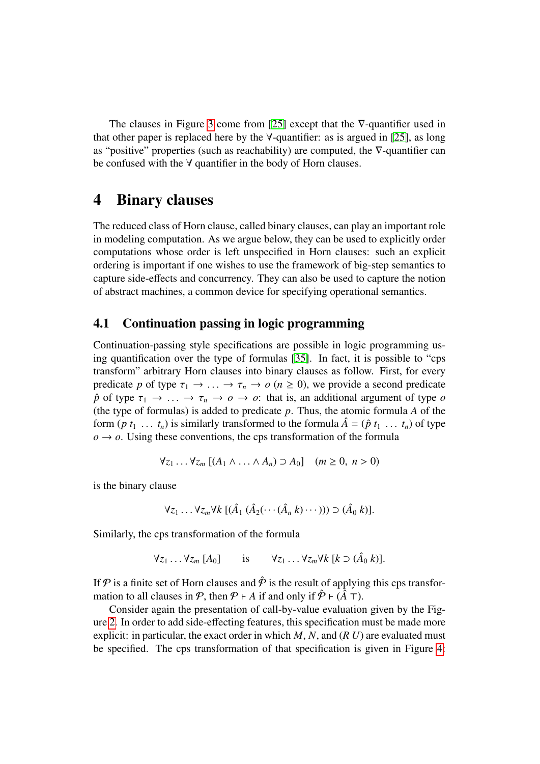The clauses in Figure [3](#page-9-0) come from [\[25\]](#page-21-7) except that the ∇-quantifier used in that other paper is replaced here by the  $\forall$ -quantifier: as is argued in [\[25\]](#page-21-7), as long as "positive" properties (such as reachability) are computed, the ∇-quantifier can be confused with the ∀ quantifier in the body of Horn clauses.

### 4 Binary clauses

The reduced class of Horn clause, called binary clauses, can play an important role in modeling computation. As we argue below, they can be used to explicitly order computations whose order is left unspecified in Horn clauses: such an explicit ordering is important if one wishes to use the framework of big-step semantics to capture side-effects and concurrency. They can also be used to capture the notion of abstract machines, a common device for specifying operational semantics.

### 4.1 Continuation passing in logic programming

Continuation-passing style specifications are possible in logic programming using quantification over the type of formulas [\[35\]](#page-21-8). In fact, it is possible to "cps transform" arbitrary Horn clauses into binary clauses as follow. First, for every predicate *p* of type  $\tau_1 \to \ldots \to \tau_n \to o$  ( $n \ge 0$ ), we provide a second predicate  $\hat{p}$  of type  $\tau_1 \to \ldots \to \tau_n \to \sigma \to \sigma$ : that is, an additional argument of type  $\sigma$ (the type of formulas) is added to predicate *p*. Thus, the atomic formula *A* of the form  $(p t_1 \ldots t_n)$  is similarly transformed to the formula  $\hat{A} = (\hat{p} t_1 \ldots t_n)$  of type  $o \rightarrow o$ . Using these conventions, the cps transformation of the formula

$$
\forall z_1 \ldots \forall z_m \left[ (A_1 \wedge \ldots \wedge A_n) \supset A_0 \right] \quad (m \ge 0, \ n > 0)
$$

is the binary clause

$$
\forall z_1 \ldots \forall z_m \forall k \ [(\hat{A}_1 \ (\hat{A}_2(\cdots(\hat{A}_n k)\cdots))) \supset (\hat{A}_0 \ k)].
$$

Similarly, the cps transformation of the formula

$$
\forall z_1 \ldots \forall z_m [A_0] \qquad \text{is} \qquad \forall z_1 \ldots \forall z_m \forall k [k \supset (\hat{A}_0 \ k)].
$$

If P is a finite set of Horn clauses and  $\hat{\mathcal{P}}$  is the result of applying this cps transformation to all clauses in  $\mathcal{P}$ , then  $\mathcal{P} \vdash A$  if and only if  $\hat{\mathcal{P}} \vdash (\hat{A} \top)$ .

Consider again the presentation of call-by-value evaluation given by the Figure [2.](#page-8-1) In order to add side-effecting features, this specification must be made more explicit: in particular, the exact order in which *M*, *N*, and (*R U*) are evaluated must be specified. The cps transformation of that specification is given in Figure [4:](#page-11-0)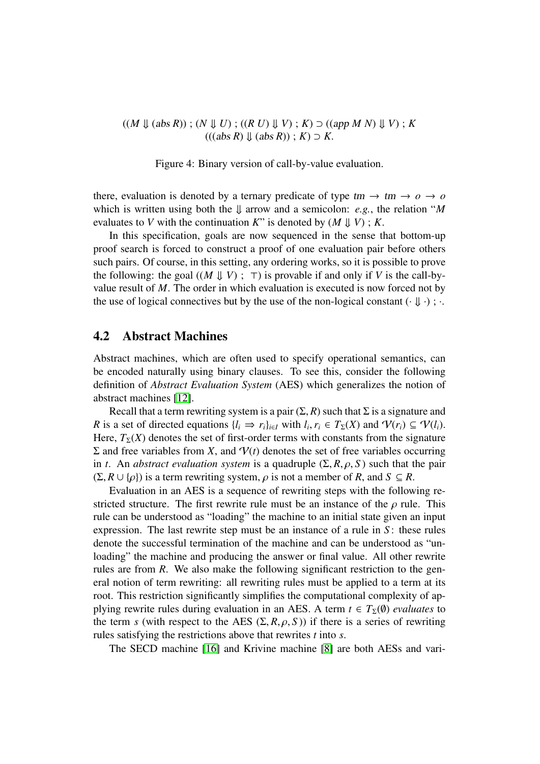$((M \Downarrow (abs R))$ ;  $(N \Downarrow U)$ ;  $((R \cup U) \Downarrow V)$ ;  $K$ )  $\supset$   $((app M N) \Downarrow V)$ ;  $K$  $(((abs R) \cup (abs R))$ ;  $K$ )  $\supset K$ .

<span id="page-11-0"></span>Figure 4: Binary version of call-by-value evaluation.

there, evaluation is denoted by a ternary predicate of type  $tm \rightarrow tm \rightarrow o \rightarrow o$ which is written using both the  $\downarrow$  arrow and a semicolon: *e.g.*, the relation "*M* evaluates to *V* with the continuation *K*" is denoted by  $(M \Downarrow V)$ ; *K*.

In this specification, goals are now sequenced in the sense that bottom-up proof search is forced to construct a proof of one evaluation pair before others such pairs. Of course, in this setting, any ordering works, so it is possible to prove the following: the goal  $((M \Downarrow V)$ ;  $\neg$ ) is provable if and only if *V* is the call-byvalue result of *M*. The order in which evaluation is executed is now forced not by the use of logical connectives but by the use of the non-logical constant  $(\cdot \parallel \cdot)$ ;  $\cdot$ .

#### 4.2 Abstract Machines

Abstract machines, which are often used to specify operational semantics, can be encoded naturally using binary clauses. To see this, consider the following definition of *Abstract Evaluation System* (AES) which generalizes the notion of abstract machines [\[12\]](#page-20-10).

Recall that a term rewriting system is a pair  $(\Sigma, R)$  such that  $\Sigma$  is a signature and *R* is a set of directed equations  $\{l_i \Rightarrow r_i\}_{i \in I}$  with  $l_i, r_i \in T_{\Sigma}(X)$  and  $\mathcal{V}(r_i) \subseteq \mathcal{V}(l_i)$ .<br>Here  $T_{\Sigma}(X)$  denotes the set of first-order terms with constants from the signature Here,  $T_{\Sigma}(X)$  denotes the set of first-order terms with constants from the signature  $Σ$  and free variables from *X*, and  $V(t)$  denotes the set of free variables occurring in *t*. An *abstract evaluation system* is a quadruple  $(\Sigma, R, \rho, S)$  such that the pair  $(\Sigma, R \cup \{\rho\})$  is a term rewriting system,  $\rho$  is not a member of *R*, and *S*  $\subseteq$  *R*.

Evaluation in an AES is a sequence of rewriting steps with the following restricted structure. The first rewrite rule must be an instance of the  $\rho$  rule. This rule can be understood as "loading" the machine to an initial state given an input expression. The last rewrite step must be an instance of a rule in *S* : these rules denote the successful termination of the machine and can be understood as "unloading" the machine and producing the answer or final value. All other rewrite rules are from *R*. We also make the following significant restriction to the general notion of term rewriting: all rewriting rules must be applied to a term at its root. This restriction significantly simplifies the computational complexity of applying rewrite rules during evaluation in an AES. A term  $t \in T_{\Sigma}(\emptyset)$  *evaluates* to the term *s* (with respect to the AES  $(\Sigma, R, \rho, S)$ ) if there is a series of rewriting rules satisfying the restrictions above that rewrites *t* into *s*.

The SECD machine [\[16\]](#page-20-6) and Krivine machine [\[8\]](#page-20-11) are both AESs and vari-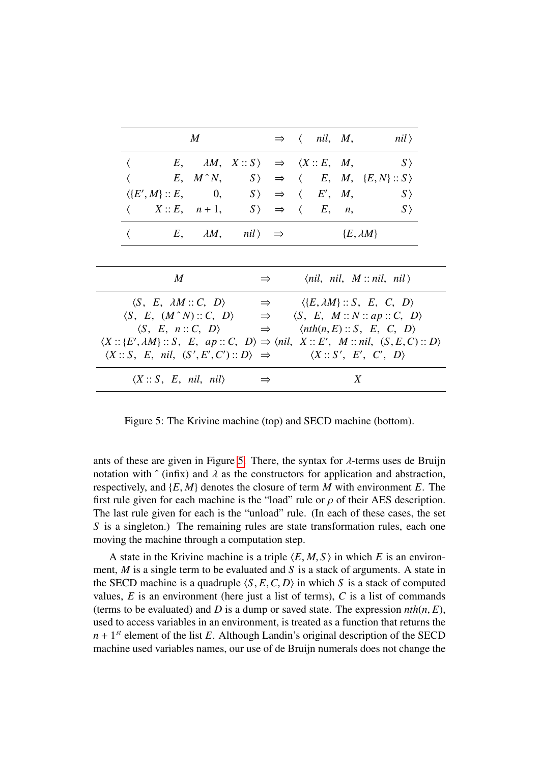|   | M                                                   |  |  |                                                                           |               |                    |  |   | $\Rightarrow \langle$ nil, M, nil)                                                                                                                                                                                  |
|---|-----------------------------------------------------|--|--|---------------------------------------------------------------------------|---------------|--------------------|--|---|---------------------------------------------------------------------------------------------------------------------------------------------------------------------------------------------------------------------|
|   |                                                     |  |  | $E, \quad \lambda M, \quad X::S$ $\Rightarrow$ $\langle X::E, M, \rangle$ |               |                    |  |   | $S\,\rangle$                                                                                                                                                                                                        |
|   |                                                     |  |  |                                                                           |               |                    |  |   | $E, M^N, S \rangle \Rightarrow \langle E, M, \{E, N\} :: S \rangle$                                                                                                                                                 |
|   |                                                     |  |  | $\langle E', M \rangle :: E,$ 0, $S \rangle \Rightarrow \langle E', M,$   |               |                    |  |   | $S \rangle$                                                                                                                                                                                                         |
|   |                                                     |  |  | $\langle X::E, n+1, S\rangle \Rightarrow \langle E, n,$                   |               |                    |  |   | $S\,\rangle$                                                                                                                                                                                                        |
|   | $E, \quad \lambda M, \quad nil \rangle \Rightarrow$ |  |  |                                                                           |               | $\{E, \lambda M\}$ |  |   |                                                                                                                                                                                                                     |
|   |                                                     |  |  |                                                                           |               |                    |  |   |                                                                                                                                                                                                                     |
| M |                                                     |  |  |                                                                           | $\Rightarrow$ |                    |  |   | $\langle nil, nil, M::nil, nil \rangle$                                                                                                                                                                             |
|   |                                                     |  |  |                                                                           |               |                    |  |   | $\langle S, E, \lambda M :: C, D \rangle \Rightarrow \langle \{E, \lambda M\} :: S, E, C, D \rangle$                                                                                                                |
|   |                                                     |  |  |                                                                           |               |                    |  |   | $\langle S, E, (M^N) :: C, D \rangle \Rightarrow \langle S, E, M :: N :: ap :: C, D \rangle$                                                                                                                        |
|   |                                                     |  |  |                                                                           |               |                    |  |   | $\langle S, E, n :: C, D \rangle$ $\Rightarrow$ $\langle nth(n, E) :: S, E, C, D \rangle$                                                                                                                           |
|   |                                                     |  |  |                                                                           |               |                    |  |   | $\langle X::\{E',\lambda M\}::S, E, ap::C, D\rangle \Rightarrow \langle nil, X::E', M::nil, (S,E,C):D\rangle$<br>$\langle X :: S, E, nil, (S', E', C') :: D \rangle \Rightarrow \langle X :: S', E', C', D \rangle$ |
|   |                                                     |  |  | $\langle X :: S, E, nil, nil \rangle \Rightarrow$                         |               |                    |  | X |                                                                                                                                                                                                                     |

<span id="page-12-0"></span>Figure 5: The Krivine machine (top) and SECD machine (bottom).

ants of these are given in Figure [5.](#page-12-0) There, the syntax for  $\lambda$ -terms uses de Bruijn notation with  $\hat{ }$  (infix) and  $\lambda$  as the constructors for application and abstraction, respectively, and {*E*, *<sup>M</sup>*} denotes the closure of term *<sup>M</sup>* with environment *<sup>E</sup>*. The first rule given for each machine is the "load" rule or  $\rho$  of their AES description. The last rule given for each is the "unload" rule. (In each of these cases, the set *S* is a singleton.) The remaining rules are state transformation rules, each one moving the machine through a computation step.

A state in the Krivine machine is a triple  $\langle E, M, S \rangle$  in which *E* is an environment, *M* is a single term to be evaluated and *S* is a stack of arguments. A state in the SECD machine is a quadruple  $\langle S, E, C, D \rangle$  in which *S* is a stack of computed values,  $E$  is an environment (here just a list of terms),  $C$  is a list of commands (terms to be evaluated) and *D* is a dump or saved state. The expression  $nth(n, E)$ , used to access variables in an environment, is treated as a function that returns the  $n + 1$ <sup>st</sup> element of the list *E*. Although Landin's original description of the SECD machine used variables names, our use of de Bruijn numerals does not change the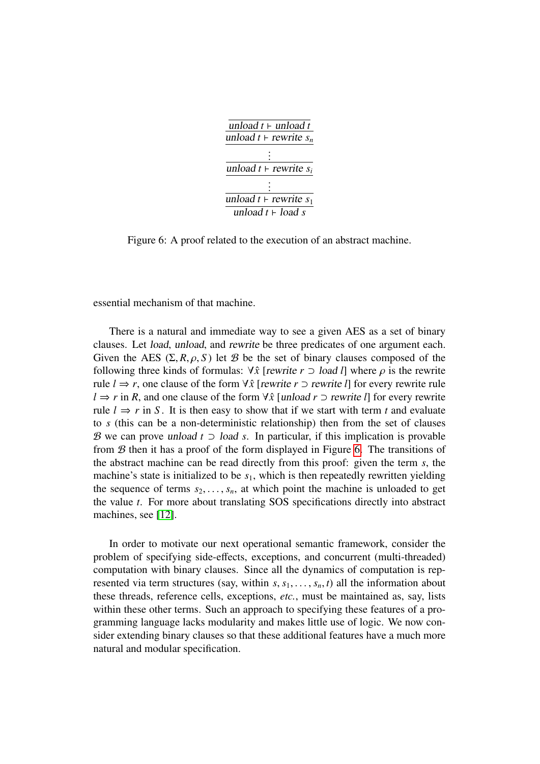

<span id="page-13-0"></span>Figure 6: A proof related to the execution of an abstract machine.

essential mechanism of that machine.

There is a natural and immediate way to see a given AES as a set of binary clauses. Let load, unload, and rewrite be three predicates of one argument each. Given the AES  $(\Sigma, R, \rho, S)$  let B be the set of binary clauses composed of the following three kinds of formulas:  $\forall \hat{x}$  [*rewrite*  $r \supset$  load *l*] where  $\rho$  is the rewrite rule  $l \Rightarrow r$ , one clause of the form  $\forall \hat{x}$  [*rewrite*  $r \supset r$  *rewrite l*] for every rewrite rule *l* ⇒ *r* in *R*, and one clause of the form ∀*x*ˆ [unload *r* ⊃ rewrite *l*] for every rewrite rule  $l \Rightarrow r$  in S. It is then easy to show that if we start with term t and evaluate to *s* (this can be a non-deterministic relationship) then from the set of clauses B we can prove unload *t* ⊃ load *s*. In particular, if this implication is provable from  $B$  then it has a proof of the form displayed in Figure [6.](#page-13-0) The transitions of the abstract machine can be read directly from this proof: given the term *s*, the machine's state is initialized to be  $s<sub>1</sub>$ , which is then repeatedly rewritten yielding the sequence of terms  $s_2, \ldots, s_n$ , at which point the machine is unloaded to get the value *t*. For more about translating SOS specifications directly into abstract machines, see [\[12\]](#page-20-10).

In order to motivate our next operational semantic framework, consider the problem of specifying side-effects, exceptions, and concurrent (multi-threaded) computation with binary clauses. Since all the dynamics of computation is represented via term structures (say, within  $s, s_1, \ldots, s_n, t$ ) all the information about these threads, reference cells, exceptions, *etc.*, must be maintained as, say, lists within these other terms. Such an approach to specifying these features of a programming language lacks modularity and makes little use of logic. We now consider extending binary clauses so that these additional features have a much more natural and modular specification.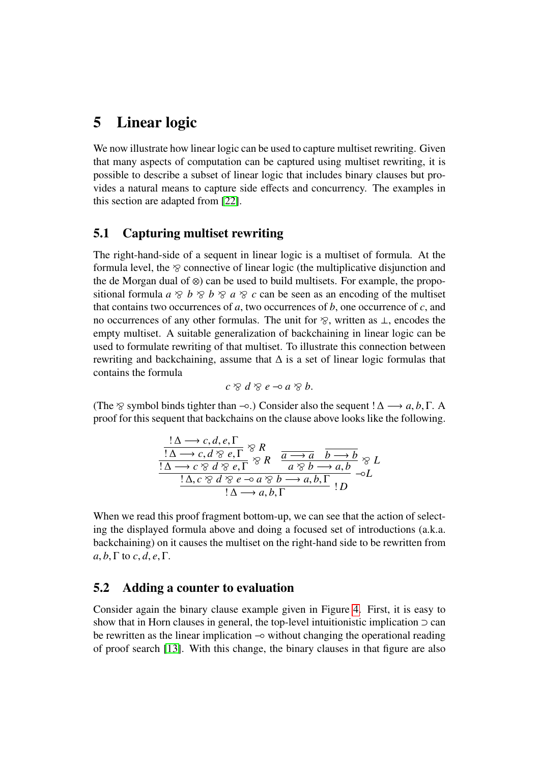### 5 Linear logic

We now illustrate how linear logic can be used to capture multiset rewriting. Given that many aspects of computation can be captured using multiset rewriting, it is possible to describe a subset of linear logic that includes binary clauses but provides a natural means to capture side effects and concurrency. The examples in this section are adapted from [\[22\]](#page-20-12).

### 5.1 Capturing multiset rewriting

The right-hand-side of a sequent in linear logic is a multiset of formula. At the formula level, the  $\delta$  connective of linear logic (the multiplicative disjunction and the de Morgan dual of ⊗) can be used to build multisets. For example, the propositional formula  $a \otimes b \otimes b \otimes a \otimes c$  can be seen as an encoding of the multiset that contains two occurrences of *a*, two occurrences of *b*, one occurrence of *c*, and no occurrences of any other formulas. The unit for  $\delta$ , written as  $\bot$ , encodes the empty multiset. A suitable generalization of backchaining in linear logic can be used to formulate rewriting of that multiset. To illustrate this connection between rewriting and backchaining, assume that ∆ is a set of linear logic formulas that contains the formula

$$
c \otimes d \otimes e \multimap a \otimes b.
$$

(The  $\otimes$  symbol binds tighter than  $\neg \circ$ .) Consider also the sequent !  $\Delta \longrightarrow a, b, \Gamma$ . A proof for this sequent that backchains on the clause above looks like the following.

$$
\frac{!\Delta \rightarrow c, d, e, \Gamma}{!\Delta \rightarrow c, d \otimes e, \Gamma} \otimes R
$$
  
\n
$$
\frac{!\Delta \rightarrow c, d \otimes e, \Gamma}{!\Delta \rightarrow c \otimes d \otimes e, \Gamma} \otimes R
$$
  
\n
$$
\frac{a \otimes b \rightarrow a, b}{a \otimes b \rightarrow a, b} \otimes L
$$
  
\n
$$
\frac{!\Delta \rightarrow c \otimes d \otimes e \rightarrow a \otimes b \rightarrow a, b, \Gamma}{!\Delta \rightarrow a, b, \Gamma} !D
$$
  
\n
$$
\frac{!\Delta \rightarrow c \otimes d \otimes e \rightarrow a \otimes b \rightarrow a, b, \Gamma}{!D} !D
$$

When we read this proof fragment bottom-up, we can see that the action of selecting the displayed formula above and doing a focused set of introductions (a.k.a. backchaining) on it causes the multiset on the right-hand side to be rewritten from  $a, b, \Gamma$  to  $c, d, e, \Gamma$ .

### 5.2 Adding a counter to evaluation

Consider again the binary clause example given in Figure [4.](#page-11-0) First, it is easy to show that in Horn clauses in general, the top-level intuitionistic implication  $\supset$  can be rewritten as the linear implication −◦ without changing the operational reading of proof search [\[13\]](#page-20-13). With this change, the binary clauses in that figure are also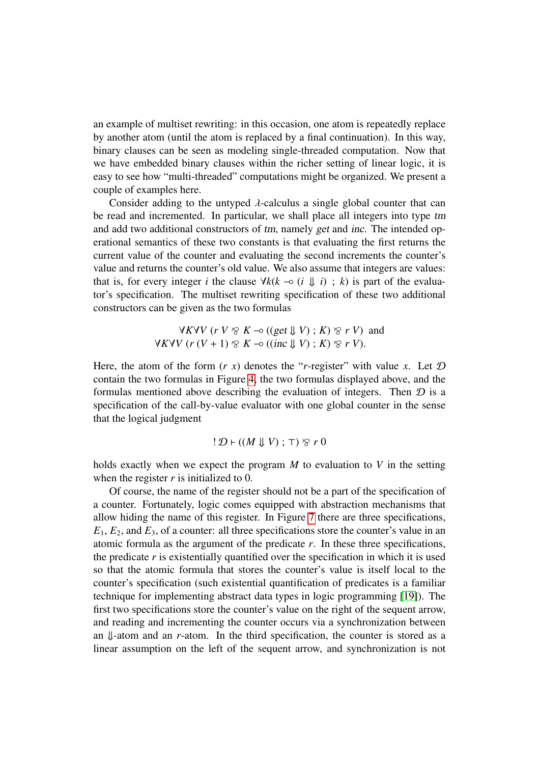an example of multiset rewriting: in this occasion, one atom is repeatedly replace by another atom (until the atom is replaced by a final continuation). In this way, binary clauses can be seen as modeling single-threaded computation. Now that we have embedded binary clauses within the richer setting of linear logic, it is easy to see how "multi-threaded" computations might be organized. We present a couple of examples here.

Consider adding to the untyped  $\lambda$ -calculus a single global counter that can be read and incremented. In particular, we shall place all integers into type tm and add two additional constructors of tm, namely get and inc. The intended operational semantics of these two constants is that evaluating the first returns the current value of the counter and evaluating the second increments the counter's value and returns the counter's old value. We also assume that integers are values: that is, for every integer *i* the clause  $\forall k(k \neg o \ (i \ \Downarrow i) ; k)$  is part of the evaluator's specification. The multiset rewriting specification of these two additional constructors can be given as the two formulas

$$
\forall K \forall V \ (r \ V \otimes K \neg o \ ((get \Downarrow V) \ ; \ K) \otimes r \ V) \ \text{and}
$$
  

$$
\forall K \forall V \ (r \ (V+1) \otimes K \neg o \ ((inc \Downarrow V) \ ; \ K) \otimes r \ V).
$$

Here, the atom of the form  $(r x)$  denotes the "*r*-register" with value *x*. Let  $D$ contain the two formulas in Figure [4,](#page-11-0) the two formulas displayed above, and the formulas mentioned above describing the evaluation of integers. Then  $D$  is a specification of the call-by-value evaluator with one global counter in the sense that the logical judgment

$$
! D \vdash ((M \Downarrow V) ; \top) \otimes r 0
$$

holds exactly when we expect the program *M* to evaluation to *V* in the setting when the register  $r$  is initialized to 0.

Of course, the name of the register should not be a part of the specification of a counter. Fortunately, logic comes equipped with abstraction mechanisms that allow hiding the name of this register. In Figure [7](#page-16-0) there are three specifications,  $E_1, E_2$ , and  $E_3$ , of a counter: all three specifications store the counter's value in an atomic formula as the argument of the predicate  $r$ . In these three specifications, the predicate  $r$  is existentially quantified over the specification in which it is used so that the atomic formula that stores the counter's value is itself local to the counter's specification (such existential quantification of predicates is a familiar technique for implementing abstract data types in logic programming [\[19\]](#page-20-14)). The first two specifications store the counter's value on the right of the sequent arrow, and reading and incrementing the counter occurs via a synchronization between an ⇓-atom and an *r*-atom. In the third specification, the counter is stored as a linear assumption on the left of the sequent arrow, and synchronization is not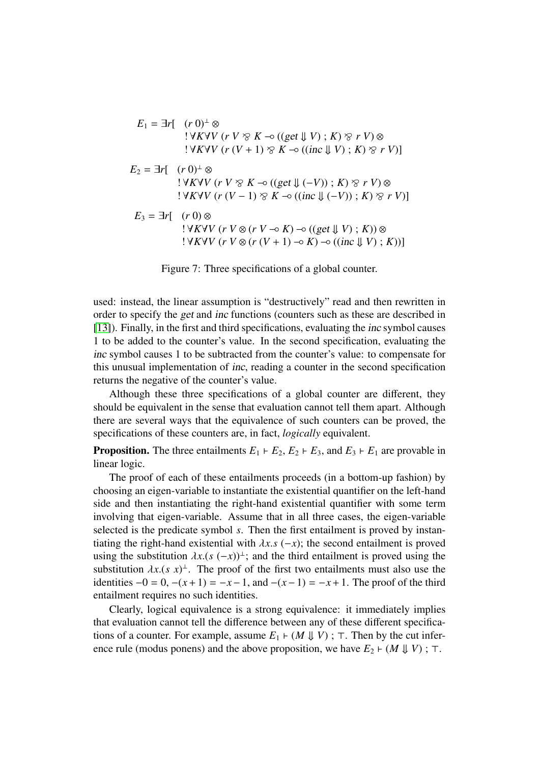$$
E_1 = \exists r [ (r 0)^{\perp} \otimes
$$
  
\n
$$
! \forall K \forall V (r V \otimes K \rightarrow ((get \Downarrow V) ; K) \otimes r V) \otimes
$$
  
\n
$$
! \forall K \forall V (r (V + 1) \otimes K \rightarrow ((inc \Downarrow V) ; K) \otimes r V)]
$$
  
\n
$$
E_2 = \exists r [ (r 0)^{\perp} \otimes
$$
  
\n
$$
! \forall K \forall V (r V \otimes K \rightarrow ((get \Downarrow (-V)) ; K) \otimes r V) \otimes
$$
  
\n
$$
! \forall K \forall V (r (V - 1) \otimes K \rightarrow ((inc \Downarrow (-V)) ; K) \otimes r V)]
$$
  
\n
$$
E_3 = \exists r [ (r 0) \otimes
$$
  
\n
$$
! \forall K \forall V (r V \otimes (r V \rightarrow K) \rightarrow ((get \Downarrow V) ; K)) \otimes
$$
  
\n
$$
! \forall K \forall V (r V \otimes (r (V + 1) \rightarrow K) \rightarrow ((inc \Downarrow V) ; K))]
$$

<span id="page-16-0"></span>Figure 7: Three specifications of a global counter.

used: instead, the linear assumption is "destructively" read and then rewritten in order to specify the get and inc functions (counters such as these are described in [\[13\]](#page-20-13)). Finally, in the first and third specifications, evaluating the inc symbol causes 1 to be added to the counter's value. In the second specification, evaluating the inc symbol causes 1 to be subtracted from the counter's value: to compensate for this unusual implementation of inc, reading a counter in the second specification returns the negative of the counter's value.

Although these three specifications of a global counter are different, they should be equivalent in the sense that evaluation cannot tell them apart. Although there are several ways that the equivalence of such counters can be proved, the specifications of these counters are, in fact, *logically* equivalent.

**Proposition.** The three entailments  $E_1 \rightharpoonup E_2$ ,  $E_2 \rightharpoonup E_3$ , and  $E_3 \rightharpoonup E_1$  are provable in linear logic.

The proof of each of these entailments proceeds (in a bottom-up fashion) by choosing an eigen-variable to instantiate the existential quantifier on the left-hand side and then instantiating the right-hand existential quantifier with some term involving that eigen-variable. Assume that in all three cases, the eigen-variable selected is the predicate symbol *s*. Then the first entailment is proved by instantiating the right-hand existential with  $\lambda x$ .*s* (−*x*); the second entailment is proved using the substitution  $\lambda x.(s (-x))^{\perp}$ ; and the third entailment is proved using the substitution  $\lambda x.(s x)^{\perp}$ . The proof of the first two entailments must also use the substitution  $\lambda x.(s x)^{\perp}$ . The proof of the first two entailments must also use the identities  $-0 = 0$ ,  $-(x+1) = -x-1$  and  $-(x-1) = -x+1$ . The proof of the third identities  $-0 = 0$ ,  $-(x+1) = -x-1$ , and  $-(x-1) = -x+1$ . The proof of the third entailment requires no such identities.

Clearly, logical equivalence is a strong equivalence: it immediately implies that evaluation cannot tell the difference between any of these different specifications of a counter. For example, assume  $E_1$   $\vdash$  (*M*  $\Downarrow$  *V*);  $\top$ . Then by the cut inference rule (modus ponens) and the above proposition, we have  $E_2$   $\vdash$  (*M*  $\Downarrow$  *V*);  $\top$ .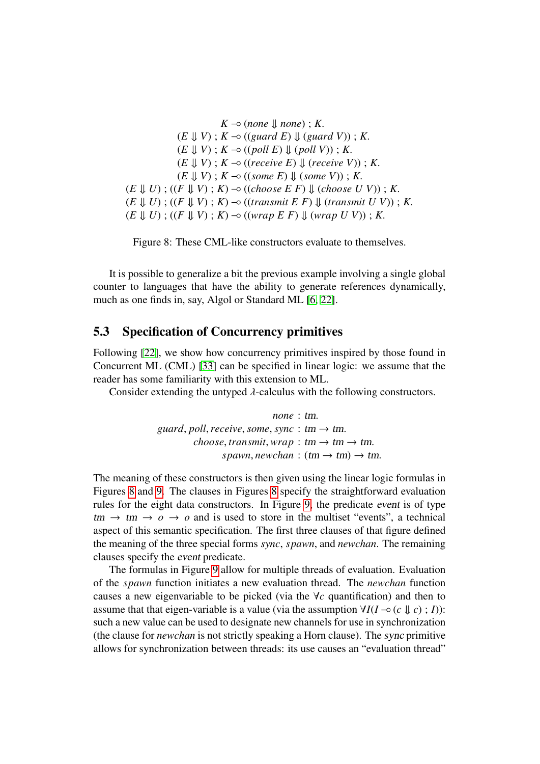$K$  → (*none*  $\downarrow$  *none*);  $K$ .  $(E \parallel V)$ ;  $K \neg o$  ((*guard E*)  $\parallel$  (*guard V*));  $K$ .  $(E \Downarrow V)$ ;  $K \neg \circ ((poll \ E) \Downarrow (poll \ V)); K$ . (*<sup>E</sup>* ⇓ *<sup>V</sup>*) ; *<sup>K</sup>* −◦ ((*receive E*) ⇓ (*receive V*)) ; *<sup>K</sup>*.  $(E \Downarrow V)$ ;  $K \neg \circ ((some \ E) \Downarrow (some \ V))$ ;  $K$ . (*<sup>E</sup>* ⇓ *<sup>U</sup>*) ; ((*<sup>F</sup>* ⇓ *<sup>V</sup>*) ; *<sup>K</sup>*) −◦ ((*choose E F*) ⇓ (*choose U V*)) ; *<sup>K</sup>*. (*<sup>E</sup>* ⇓ *<sup>U</sup>*) ; ((*<sup>F</sup>* ⇓ *<sup>V</sup>*) ; *<sup>K</sup>*) −◦ ((*transmit E F*) ⇓ (*transmit U V*)) ; *<sup>K</sup>*. (*<sup>E</sup>* ⇓ *<sup>U</sup>*) ; ((*<sup>F</sup>* ⇓ *<sup>V</sup>*) ; *<sup>K</sup>*) −◦ ((*wrap E F*) ⇓ (*wrap U V*)) ; *<sup>K</sup>*.

<span id="page-17-0"></span>Figure 8: These CML-like constructors evaluate to themselves.

It is possible to generalize a bit the previous example involving a single global counter to languages that have the ability to generate references dynamically, much as one finds in, say, Algol or Standard ML [\[6,](#page-19-4) [22\]](#page-20-12).

#### 5.3 Specification of Concurrency primitives

Following [\[22\]](#page-20-12), we show how concurrency primitives inspired by those found in Concurrent ML (CML) [\[33\]](#page-21-9) can be specified in linear logic: we assume that the reader has some familiarity with this extension to ML.

Consider extending the untyped  $\lambda$ -calculus with the following constructors.

$$
none:tm.
$$
  
guard, poll, receive, some, sync:  $tm \rightarrow tm$ .  
choose, transmit, wrap:  $tm \rightarrow tm \rightarrow tm$ .  
spam, newchan:  $(tm \rightarrow tm) \rightarrow tm$ .

The meaning of these constructors is then given using the linear logic formulas in Figures [8](#page-17-0) and [9.](#page-18-0) The clauses in Figures [8](#page-17-0) specify the straightforward evaluation rules for the eight data constructors. In Figure [9,](#page-18-0) the predicate event is of type  $tm \rightarrow tm \rightarrow o \rightarrow o$  and is used to store in the multiset "events", a technical aspect of this semantic specification. The first three clauses of that figure defined the meaning of the three special forms *sync*, *spawn*, and *newchan*. The remaining clauses specify the event predicate.

The formulas in Figure [9](#page-18-0) allow for multiple threads of evaluation. Evaluation of the *spawn* function initiates a new evaluation thread. The *newchan* function causes a new eigenvariable to be picked (via the ∀*c* quantification) and then to assume that that eigen-variable is a value (via the assumption  $\forall I(I \neg o(c \Downarrow c)$ ; *I*)): such a new value can be used to designate new channels for use in synchronization (the clause for *newchan* is not strictly speaking a Horn clause). The sync primitive allows for synchronization between threads: its use causes an "evaluation thread"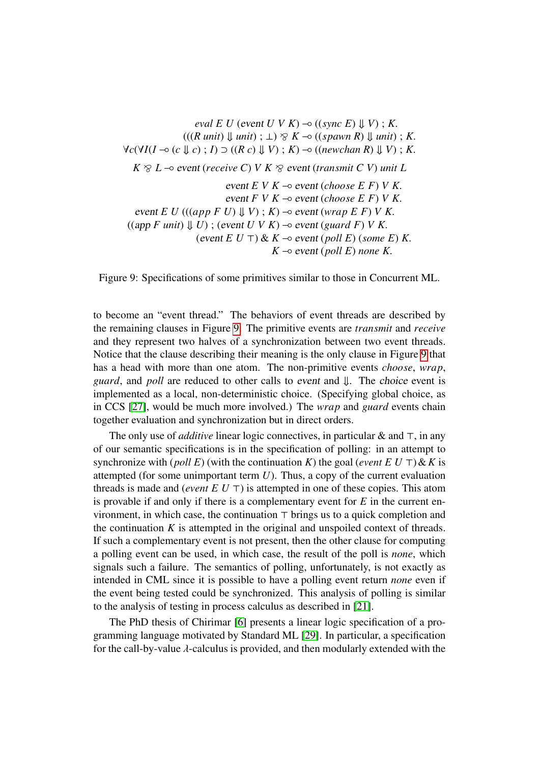*eval E U* (*event U V K*)  $\neg$  ((*sync E*)  $\Downarrow$  *V*); *K*.  $(((R \text{ unit}) \parallel \text{ unit}) : \bot) \otimes K \neg \circ ((\text{spam } R) \parallel \text{ unit}) : K$ . <sup>∀</sup>*c*(∀*I*(*<sup>I</sup>* −◦ (*<sup>c</sup>* ⇓ *<sup>c</sup>*) ; *<sup>I</sup>*) <sup>⊃</sup> ((*R c*) ⇓ *<sup>V</sup>*) ; *<sup>K</sup>*) −◦ ((*newchan R*) ⇓ *<sup>V</sup>*) ; *<sup>K</sup>*. *K*  $\otimes$  *L*  $\rightarrow$  event (*receive C*) *V K*  $\otimes$  event (*transmit C V*) *unit L* event *E V K* −◦ event (*choose E F*) *V K*. event *F V K* −◦ event (*choose E F*) *V K*. event *E U* (( $(app F U$ )  $\downarrow$  *V*) ; *K*)  $\rightarrow$  event (*wrap E F*) *V K*.  $((app F unit) \Downarrow U)$ ;  $(event U V K) \neg ∘ event (guard F) V K$ .  $(\text{event } E \cup \top) \& K \rightarrow \text{event } (\text{poll } E) \& (\text{some } E) \& K$ . *K*  $\sim$  event (*poll E*) *none K*.

<span id="page-18-0"></span>Figure 9: Specifications of some primitives similar to those in Concurrent ML.

to become an "event thread." The behaviors of event threads are described by the remaining clauses in Figure [9.](#page-18-0) The primitive events are *transmit* and *receive* and they represent two halves of a synchronization between two event threads. Notice that the clause describing their meaning is the only clause in Figure [9](#page-18-0) that has a head with more than one atom. The non-primitive events *choose*, *wrap*, *guard*, and *poll* are reduced to other calls to event and ⇓. The choice event is implemented as a local, non-deterministic choice. (Specifying global choice, as in CCS [\[27\]](#page-21-10), would be much more involved.) The *wrap* and *guard* events chain together evaluation and synchronization but in direct orders.

The only use of *additive* linear logic connectives, in particular  $\&$  and  $\top$ , in any of our semantic specifications is in the specification of polling: in an attempt to synchronize with (*poll E*) (with the continuation *K*) the goal (*event E U*  $\top$ ) & *K* is attempted (for some unimportant term *U*). Thus, a copy of the current evaluation threads is made and (*event E U*  $\top$ ) is attempted in one of these copies. This atom is provable if and only if there is a complementary event for *E* in the current environment, in which case, the continuation  $\top$  brings us to a quick completion and the continuation  $K$  is attempted in the original and unspoiled context of threads. If such a complementary event is not present, then the other clause for computing a polling event can be used, in which case, the result of the poll is *none*, which signals such a failure. The semantics of polling, unfortunately, is not exactly as intended in CML since it is possible to have a polling event return *none* even if the event being tested could be synchronized. This analysis of polling is similar to the analysis of testing in process calculus as described in [\[21\]](#page-20-15).

The PhD thesis of Chirimar [\[6\]](#page-19-4) presents a linear logic specification of a programming language motivated by Standard ML [\[29\]](#page-21-4). In particular, a specification for the call-by-value  $\lambda$ -calculus is provided, and then modularly extended with the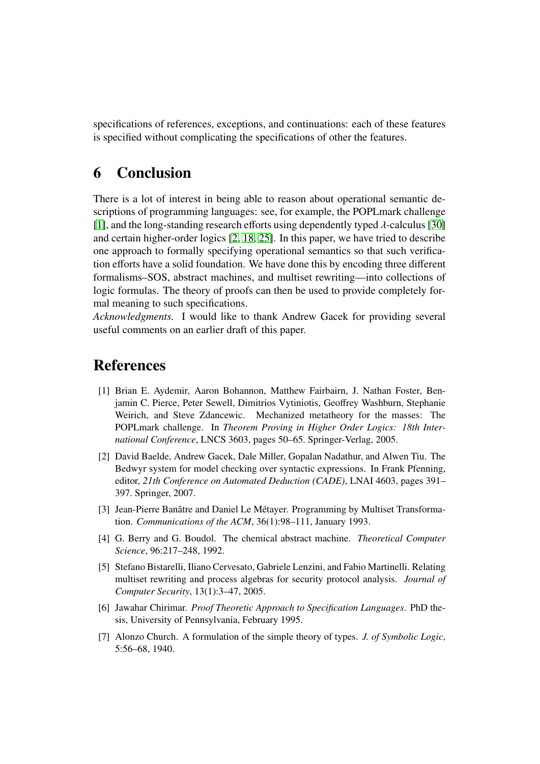specifications of references, exceptions, and continuations: each of these features is specified without complicating the specifications of other the features.

### 6 Conclusion

There is a lot of interest in being able to reason about operational semantic descriptions of programming languages: see, for example, the POPLmark challenge [\[1\]](#page-19-5), and the long-standing research efforts using dependently typed  $\lambda$ -calculus [\[30\]](#page-21-11) and certain higher-order logics [\[2,](#page-19-6) [18,](#page-20-16) [25\]](#page-21-7). In this paper, we have tried to describe one approach to formally specifying operational semantics so that such verification efforts have a solid foundation. We have done this by encoding three different formalisms–SOS, abstract machines, and multiset rewriting—into collections of logic formulas. The theory of proofs can then be used to provide completely formal meaning to such specifications.

*Acknowledgments.* I would like to thank Andrew Gacek for providing several useful comments on an earlier draft of this paper.

### References

- <span id="page-19-5"></span>[1] Brian E. Aydemir, Aaron Bohannon, Matthew Fairbairn, J. Nathan Foster, Benjamin C. Pierce, Peter Sewell, Dimitrios Vytiniotis, Geoffrey Washburn, Stephanie Weirich, and Steve Zdancewic. Mechanized metatheory for the masses: The POPLmark challenge. In *Theorem Proving in Higher Order Logics: 18th International Conference*, LNCS 3603, pages 50–65. Springer-Verlag, 2005.
- <span id="page-19-6"></span>[2] David Baelde, Andrew Gacek, Dale Miller, Gopalan Nadathur, and Alwen Tiu. The Bedwyr system for model checking over syntactic expressions. In Frank Pfenning, editor, *21th Conference on Automated Deduction (CADE)*, LNAI 4603, pages 391– 397. Springer, 2007.
- <span id="page-19-0"></span>[3] Jean-Pierre Banâtre and Daniel Le Métayer. Programming by Multiset Transformation. *Communications of the ACM*, 36(1):98–111, January 1993.
- <span id="page-19-1"></span>[4] G. Berry and G. Boudol. The chemical abstract machine. *Theoretical Computer Science*, 96:217–248, 1992.
- <span id="page-19-2"></span>[5] Stefano Bistarelli, Iliano Cervesato, Gabriele Lenzini, and Fabio Martinelli. Relating multiset rewriting and process algebras for security protocol analysis. *Journal of Computer Security*, 13(1):3–47, 2005.
- <span id="page-19-4"></span>[6] Jawahar Chirimar. *Proof Theoretic Approach to Specification Languages*. PhD thesis, University of Pennsylvania, February 1995.
- <span id="page-19-3"></span>[7] Alonzo Church. A formulation of the simple theory of types. *J. of Symbolic Logic*, 5:56–68, 1940.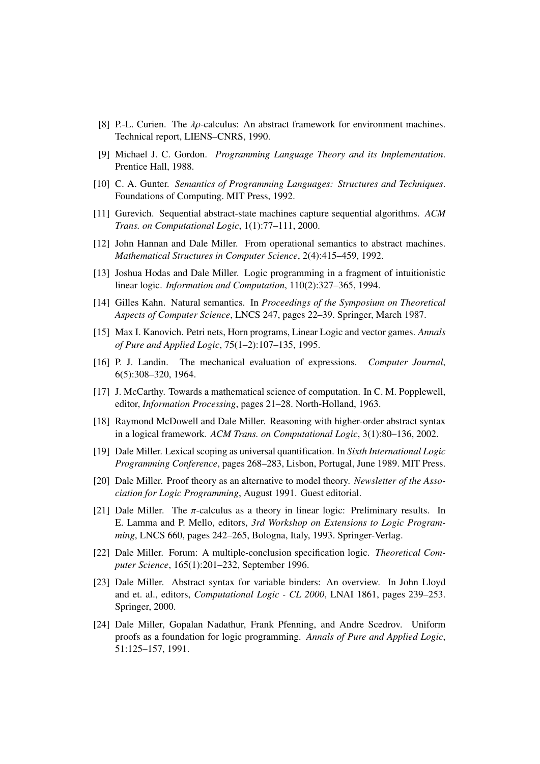- <span id="page-20-11"></span>[8] P.-L. Curien. The  $\lambda \rho$ -calculus: An abstract framework for environment machines. Technical report, LIENS–CNRS, 1990.
- <span id="page-20-2"></span>[9] Michael J. C. Gordon. *Programming Language Theory and its Implementation*. Prentice Hall, 1988.
- <span id="page-20-3"></span>[10] C. A. Gunter. *Semantics of Programming Languages: Structures and Techniques*. Foundations of Computing. MIT Press, 1992.
- <span id="page-20-1"></span>[11] Gurevich. Sequential abstract-state machines capture sequential algorithms. *ACM Trans. on Computational Logic*, 1(1):77–111, 2000.
- <span id="page-20-10"></span>[12] John Hannan and Dale Miller. From operational semantics to abstract machines. *Mathematical Structures in Computer Science*, 2(4):415–459, 1992.
- <span id="page-20-13"></span>[13] Joshua Hodas and Dale Miller. Logic programming in a fragment of intuitionistic linear logic. *Information and Computation*, 110(2):327–365, 1994.
- <span id="page-20-5"></span>[14] Gilles Kahn. Natural semantics. In *Proceedings of the Symposium on Theoretical Aspects of Computer Science*, LNCS 247, pages 22–39. Springer, March 1987.
- <span id="page-20-7"></span>[15] Max I. Kanovich. Petri nets, Horn programs, Linear Logic and vector games. *Annals of Pure and Applied Logic*, 75(1–2):107–135, 1995.
- <span id="page-20-6"></span>[16] P. J. Landin. The mechanical evaluation of expressions. *Computer Journal*, 6(5):308–320, 1964.
- <span id="page-20-0"></span>[17] J. McCarthy. Towards a mathematical science of computation. In C. M. Popplewell, editor, *Information Processing*, pages 21–28. North-Holland, 1963.
- <span id="page-20-16"></span>[18] Raymond McDowell and Dale Miller. Reasoning with higher-order abstract syntax in a logical framework. *ACM Trans. on Computational Logic*, 3(1):80–136, 2002.
- <span id="page-20-14"></span>[19] Dale Miller. Lexical scoping as universal quantification. In *Sixth International Logic Programming Conference*, pages 268–283, Lisbon, Portugal, June 1989. MIT Press.
- <span id="page-20-4"></span>[20] Dale Miller. Proof theory as an alternative to model theory. *Newsletter of the Association for Logic Programming*, August 1991. Guest editorial.
- <span id="page-20-15"></span>[21] Dale Miller. The π-calculus as a theory in linear logic: Preliminary results. In E. Lamma and P. Mello, editors, *3rd Workshop on Extensions to Logic Programming*, LNCS 660, pages 242–265, Bologna, Italy, 1993. Springer-Verlag.
- <span id="page-20-12"></span>[22] Dale Miller. Forum: A multiple-conclusion specification logic. *Theoretical Computer Science*, 165(1):201–232, September 1996.
- <span id="page-20-8"></span>[23] Dale Miller. Abstract syntax for variable binders: An overview. In John Lloyd and et. al., editors, *Computational Logic - CL 2000*, LNAI 1861, pages 239–253. Springer, 2000.
- <span id="page-20-9"></span>[24] Dale Miller, Gopalan Nadathur, Frank Pfenning, and Andre Scedrov. Uniform proofs as a foundation for logic programming. *Annals of Pure and Applied Logic*, 51:125–157, 1991.